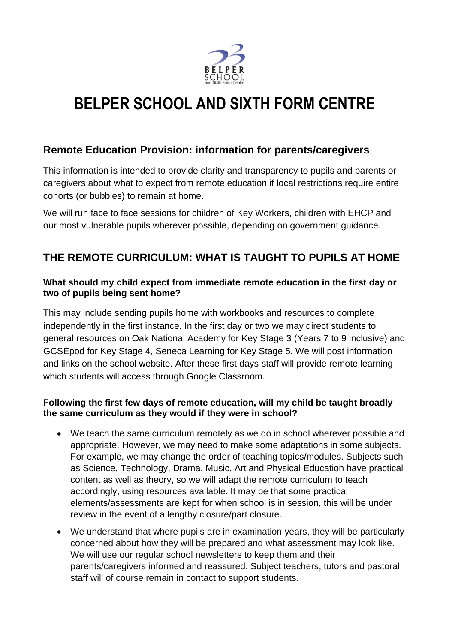

# **BELPER SCHOOL AND SIXTH FORM CENTRE**

### **Remote Education Provision: information for parents/caregivers**

This information is intended to provide clarity and transparency to pupils and parents or caregivers about what to expect from remote education if local restrictions require entire cohorts (or bubbles) to remain at home.

We will run face to face sessions for children of Key Workers, children with EHCP and our most vulnerable pupils wherever possible, depending on government guidance.

### **THE REMOTE CURRICULUM: WHAT IS TAUGHT TO PUPILS AT HOME**

#### **What should my child expect from immediate remote education in the first day or two of pupils being sent home?**

This may include sending pupils home with workbooks and resources to complete independently in the first instance. In the first day or two we may direct students to general resources on Oak National Academy for Key Stage 3 (Years 7 to 9 inclusive) and GCSEpod for Key Stage 4, Seneca Learning for Key Stage 5. We will post information and links on the school website. After these first days staff will provide remote learning which students will access through Google Classroom.

#### **Following the first few days of remote education, will my child be taught broadly the same curriculum as they would if they were in school?**

- We teach the same curriculum remotely as we do in school wherever possible and appropriate. However, we may need to make some adaptations in some subjects. For example, we may change the order of teaching topics/modules. Subjects such as Science, Technology, Drama, Music, Art and Physical Education have practical content as well as theory, so we will adapt the remote curriculum to teach accordingly, using resources available. It may be that some practical elements/assessments are kept for when school is in session, this will be under review in the event of a lengthy closure/part closure.
- We understand that where pupils are in examination years, they will be particularly concerned about how they will be prepared and what assessment may look like. We will use our regular school newsletters to keep them and their parents/caregivers informed and reassured. Subject teachers, tutors and pastoral staff will of course remain in contact to support students.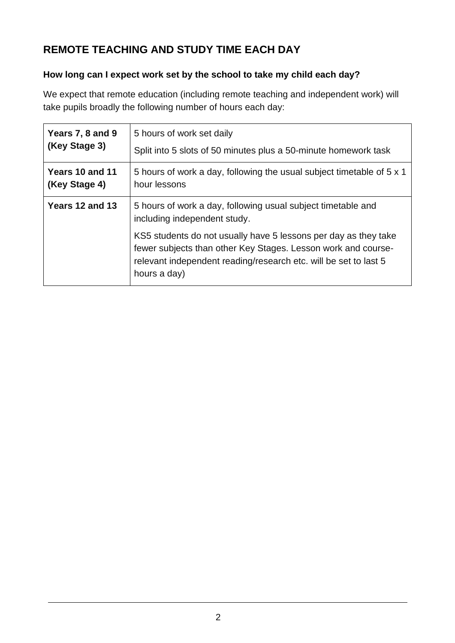# **REMOTE TEACHING AND STUDY TIME EACH DAY**

### **How long can I expect work set by the school to take my child each day?**

We expect that remote education (including remote teaching and independent work) will take pupils broadly the following number of hours each day:

| Years 7, 8 and 9 | 5 hours of work set daily                                                                                                                                                                                            |
|------------------|----------------------------------------------------------------------------------------------------------------------------------------------------------------------------------------------------------------------|
| (Key Stage 3)    | Split into 5 slots of 50 minutes plus a 50-minute homework task                                                                                                                                                      |
| Years 10 and 11  | 5 hours of work a day, following the usual subject timetable of 5 x 1                                                                                                                                                |
| (Key Stage 4)    | hour lessons                                                                                                                                                                                                         |
| Years 12 and 13  | 5 hours of work a day, following usual subject timetable and<br>including independent study.                                                                                                                         |
|                  | KS5 students do not usually have 5 lessons per day as they take<br>fewer subjects than other Key Stages. Lesson work and course-<br>relevant independent reading/research etc. will be set to last 5<br>hours a day) |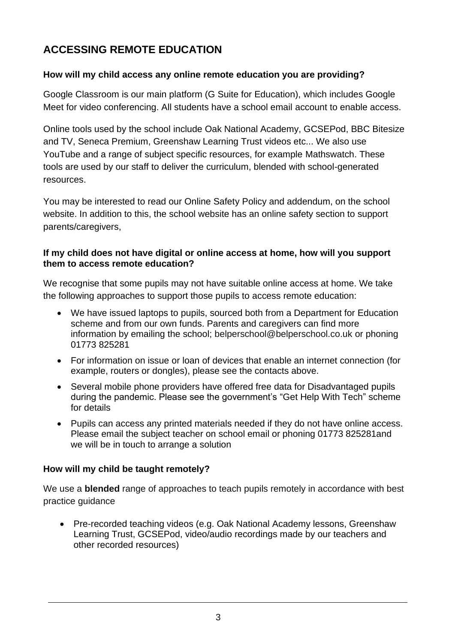## **ACCESSING REMOTE EDUCATION**

#### **How will my child access any online remote education you are providing?**

Google Classroom is our main platform (G Suite for Education), which includes Google Meet for video conferencing. All students have a school email account to enable access.

Online tools used by the school include Oak National Academy, GCSEPod, BBC Bitesize and TV, Seneca Premium, Greenshaw Learning Trust videos etc... We also use YouTube and a range of subject specific resources, for example Mathswatch. These tools are used by our staff to deliver the curriculum, blended with school-generated resources.

You may be interested to read our Online Safety Policy and addendum, on the school website. In addition to this, the school website has an online safety section to support parents/caregivers,

#### **If my child does not have digital or online access at home, how will you support them to access remote education?**

We recognise that some pupils may not have suitable online access at home. We take the following approaches to support those pupils to access remote education:

- We have issued laptops to pupils, sourced both from a Department for Education scheme and from our own funds. Parents and caregivers can find more information by emailing the school; [belperschool@belperschool.co.uk](mailto:belperschool@belperschool.co.uk) or phoning 01773 825281
- For information on issue or loan of devices that enable an internet connection (for example, routers or dongles), please see the contacts above.
- Several mobile phone providers have offered free data for Disadvantaged pupils during the pandemic. Please see the government's "Get Help With Tech" scheme for details
- Pupils can access any printed materials needed if they do not have online access. Please email the subject teacher on school email or phoning 01773 825281and we will be in touch to arrange a solution

#### **How will my child be taught remotely?**

We use a **blended** range of approaches to teach pupils remotely in accordance with best practice guidance

• Pre-recorded teaching videos (e.g. Oak National Academy lessons, Greenshaw Learning Trust, GCSEPod, video/audio recordings made by our teachers and other recorded resources)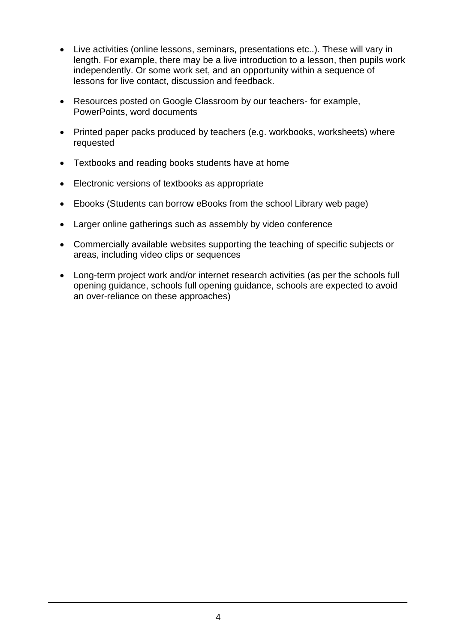- Live activities (online lessons, seminars, presentations etc..). These will vary in length. For example, there may be a live introduction to a lesson, then pupils work independently. Or some work set, and an opportunity within a sequence of lessons for live contact, discussion and feedback.
- Resources posted on Google Classroom by our teachers- for example, PowerPoints, word documents
- Printed paper packs produced by teachers (e.g. workbooks, worksheets) where requested
- Textbooks and reading books students have at home
- Electronic versions of textbooks as appropriate
- Ebooks (Students can borrow eBooks from the school Library web page)
- Larger online gatherings such as assembly by video conference
- Commercially available websites supporting the teaching of specific subjects or areas, including video clips or sequences
- Long-term project work and/or internet research activities (as per the [schools full](https://www.gov.uk/government/publications/actions-for-schools-during-the-coronavirus-outbreak/guidance-for-full-opening-schools#res)  [opening guidance,](https://www.gov.uk/government/publications/actions-for-schools-during-the-coronavirus-outbreak/guidance-for-full-opening-schools#res) schools full opening guidance, schools are expected to avoid an over-reliance on these approaches)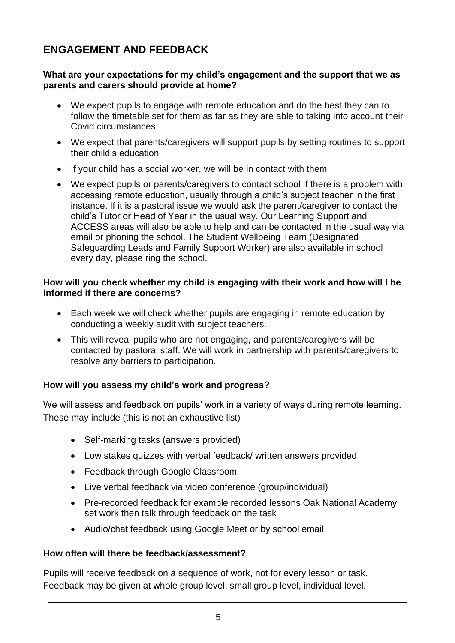### **ENGAGEMENT AND FEEDBACK**

#### **What are your expectations for my child's engagement and the support that we as parents and carers should provide at home?**

- We expect pupils to engage with remote education and do the best they can to follow the timetable set for them as far as they are able to taking into account their Covid circumstances
- We expect that parents/caregivers will support pupils by setting routines to support their child's education
- If your child has a social worker, we will be in contact with them
- We expect pupils or parents/caregivers to contact school if there is a problem with accessing remote education, usually through a child's subject teacher in the first instance. If it is a pastoral issue we would ask the parent/caregiver to contact the child's Tutor or Head of Year in the usual way. Our Learning Support and ACCESS areas will also be able to help and can be contacted in the usual way via email or phoning the school. The Student Wellbeing Team (Designated Safeguarding Leads and Family Support Worker) are also available in school every day, please ring the school.

#### **How will you check whether my child is engaging with their work and how will I be informed if there are concerns?**

- Each week we will check whether pupils are engaging in remote education by conducting a weekly audit with subject teachers.
- This will reveal pupils who are not engaging, and parents/caregivers will be contacted by pastoral staff. We will work in partnership with parents/caregivers to resolve any barriers to participation.

#### **How will you assess my child's work and progress?**

We will assess and feedback on pupils' work in a variety of ways during remote learning. These may include (this is not an exhaustive list)

- Self-marking tasks (answers provided)
- Low stakes quizzes with verbal feedback/ written answers provided
- Feedback through Google Classroom
- Live verbal feedback via video conference (group/individual)
- Pre-recorded feedback for example recorded lessons Oak National Academy set work then talk through feedback on the task
- Audio/chat feedback using Google Meet or by school email

#### **How often will there be feedback/assessment?**

Pupils will receive feedback on a sequence of work, not for every lesson or task. Feedback may be given at whole group level, small group level, individual level.